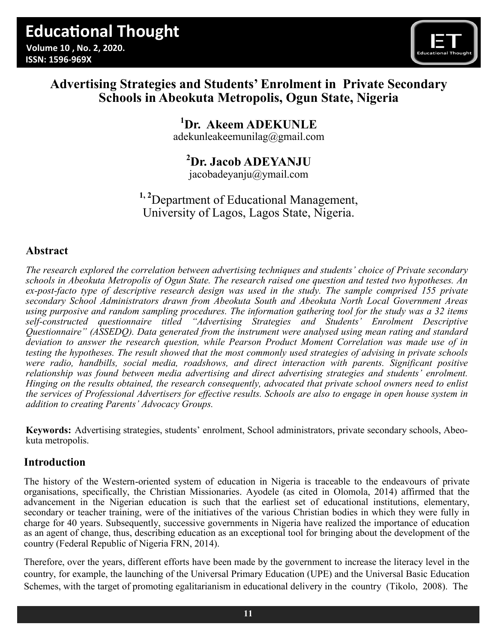

## **Advertising Strategies and Students' Enrolment in Private Secondary Schools in Abeokuta Metropolis, Ogun State, Nigeria**

## **<sup>1</sup>Dr. Akeem ADEKUNLE** [adekunleakeemunilag@gmail.com](mailto:adekunleakeemunilag@gmail.com)

**<sup>2</sup>Dr. Jacob ADEYANJU**

jacobadeyanju@ymail.com

**1, 2**Department of Educational Management, University of Lagos, Lagos State, Nigeria.

## **Abstract**

*The research explored the correlation between advertising techniques and students' choice of Private secondary schools in Abeokuta Metropolis of Ogun State. The research raised one question and tested two hypotheses. An ex-post-facto type of descriptive research design was used in the study. The sample comprised 155 private secondary School Administrators drawn from Abeokuta South and Abeokuta North Local Government Areas using purposive and random sampling procedures. The information gathering tool for the study was a 32 items self-constructed questionnaire titled "Advertising Strategies and Students' Enrolment Descriptive Questionnaire" (ASSEDQ). Data generated from the instrument were analysed using mean rating and standard deviation to answer the research question, while Pearson Product Moment Correlation was made use of in testing the hypotheses. The result showed that the most commonly used strategies of advising in private schools were radio, handbills, social media, roadshows, and direct interaction with parents. Significant positive relationship was found between media advertising and direct advertising strategies and students' enrolment. Hinging on the results obtained, the research consequently, advocated that private school owners need to enlist the services of Professional Advertisers for effective results. Schools are also to engage in open house system in addition to creating Parents' Advocacy Groups.*

**Keywords:** Advertising strategies, students' enrolment, School administrators, private secondary schools, Abeokuta metropolis.

## **Introduction**

The history of the Western-oriented system of education in Nigeria is traceable to the endeavours of private organisations, specifically, the Christian Missionaries. Ayodele (as cited in Olomola, 2014) affirmed that the advancement in the Nigerian education is such that the earliest set of educational institutions, elementary, secondary or teacher training, were of the initiatives of the various Christian bodies in which they were fully in charge for 40 years. Subsequently, successive governments in Nigeria have realized the importance of education as an agent of change, thus, describing education as an exceptional tool for bringing about the development of the country (Federal Republic of Nigeria FRN, 2014).

Therefore, over the years, different efforts have been made by the government to increase the literacy level in the country, for example, the launching of the Universal Primary Education (UPE) and the Universal Basic Education Schemes, with the target of promoting egalitarianism in educational delivery in the country (Tikolo, 2008). The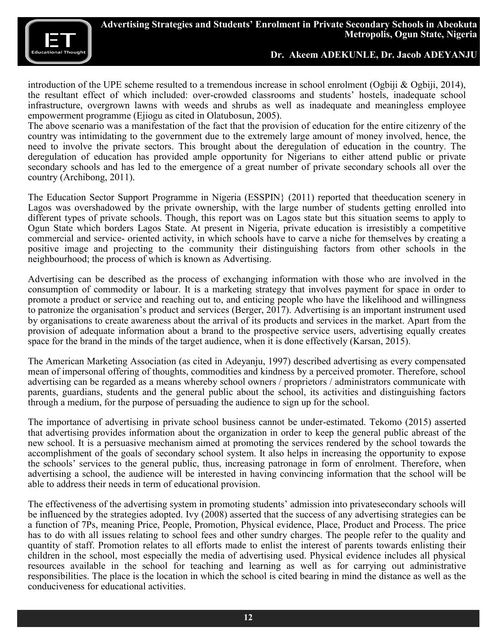

introduction of the UPE scheme resulted to a tremendous increase in school enrolment (Ogbiji & Ogbiji, 2014), the resultant effect of which included: over-crowded classrooms and students' hostels, inadequate school infrastructure, overgrown lawns with weeds and shrubs as well as inadequate and meaningless employee empowerment programme (Ejiogu as cited in Olatubosun, 2005).

The above scenario was a manifestation of the fact that the provision of education for the entire citizenry of the country was intimidating to the government due to the extremely large amount of money involved, hence, the need to involve the private sectors. This brought about the deregulation of education in the country. The deregulation of education has provided ample opportunity for Nigerians to either attend public or private secondary schools and has led to the emergence of a great number of private secondary schools all over the country (Archibong, 2011).

The Education Sector Support Programme in Nigeria (ESSPIN} (2011) reported that theeducation scenery in Lagos was overshadowed by the private ownership, with the large number of students getting enrolled into different types of private schools. Though, this report was on Lagos state but this situation seems to apply to Ogun State which borders Lagos State. At present in Nigeria, private education is irresistibly a competitive commercial and service- oriented activity, in which schools have to carve a niche for themselves by creating a positive image and projecting to the community their distinguishing factors from other schools in the neighbourhood; the process of which is known as Advertising.

Advertising can be described as the process of exchanging information with those who are involved in the consumption of commodity or labour. It is a marketing strategy that involves payment for space in order to promote a product or service and reaching out to, and enticing people who have the likelihood and willingness to patronize the organisation's product and services (Berger, 2017). Advertising is an important instrument used by organisations to create awareness about the arrival of its products and services in the market. Apart from the provision of adequate information about a brand to the prospective service users, advertising equally creates space for the brand in the minds of the target audience, when it is done effectively (Karsan, 2015).

The American Marketing Association (as cited in Adeyanju, 1997) described advertising as every compensated mean of impersonal offering of thoughts, commodities and kindness by a perceived promoter. Therefore, school advertising can be regarded as a means whereby school owners / proprietors / administrators communicate with parents, guardians, students and the general public about the school, its activities and distinguishing factors through a medium, for the purpose of persuading the audience to sign up for the school.

The importance of advertising in private school business cannot be under-estimated. Tekomo (2015) asserted that advertising provides information about the organization in order to keep the general public abreast of the new school. It is a persuasive mechanism aimed at promoting the services rendered by the school towards the accomplishment of the goals of secondary school system. It also helps in increasing the opportunity to expose the schools' services to the general public, thus, increasing patronage in form of enrolment. Therefore, when advertising a school, the audience will be interested in having convincing information that the school will be able to address their needs in term of educational provision.

The effectiveness of the advertising system in promoting students' admission into privatesecondary schools will be influenced by the strategies adopted. Ivy (2008) asserted that the success of any advertising strategies can be a function of 7Ps, meaning Price, People, Promotion, Physical evidence, Place, Product and Process. The price has to do with all issues relating to school fees and other sundry charges. The people refer to the quality and quantity of staff. Promotion relates to all efforts made to enlist the interest of parents towards enlisting their children in the school, most especially the media of advertising used. Physical evidence includes all physical resources available in the school for teaching and learning as well as for carrying out administrative responsibilities. The place is the location in which the school is cited bearing in mind the distance as well as the conduciveness for educational activities.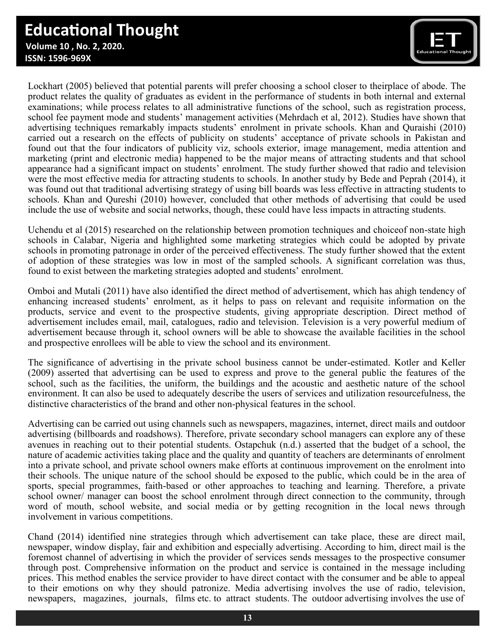# **Educational Thought**

 **Volume 10 , No. 2, 2020. ISSN: 1596-969X**



Lockhart (2005) believed that potential parents will prefer choosing a school closer to theirplace of abode. The product relates the quality of graduates as evident in the performance of students in both internal and external examinations; while process relates to all administrative functions of the school, such as registration process, school fee payment mode and students' management activities (Mehrdach et al, 2012). Studies have shown that advertising techniques remarkably impacts students' enrolment in private schools. Khan and Quraishi (2010) carried out a research on the effects of publicity on students' acceptance of private schools in Pakistan and found out that the four indicators of publicity viz, schools exterior, image management, media attention and marketing (print and electronic media) happened to be the major means of attracting students and that school appearance had a significant impact on students' enrolment. The study further showed that radio and television were the most effective media for attracting students to schools. In another study by Bede and Peprah (2014), it was found out that traditional advertising strategy of using bill boards was less effective in attracting students to schools. Khan and Qureshi (2010) however, concluded that other methods of advertising that could be used include the use of website and social networks, though, these could have less impacts in attracting students.

Uchendu et al (2015) researched on the relationship between promotion techniques and choiceof non-state high schools in Calabar, Nigeria and highlighted some marketing strategies which could be adopted by private schools in promoting patronage in order of the perceived effectiveness. The study further showed that the extent of adoption of these strategies was low in most of the sampled schools. A significant correlation was thus, found to exist between the marketing strategies adopted and students' enrolment.

Omboi and Mutali (2011) have also identified the direct method of advertisement, which has ahigh tendency of enhancing increased students' enrolment, as it helps to pass on relevant and requisite information on the products, service and event to the prospective students, giving appropriate description. Direct method of advertisement includes email, mail, catalogues, radio and television. Television is a very powerful medium of advertisement because through it, school owners will be able to showcase the available facilities in the school and prospective enrollees will be able to view the school and its environment.

The significance of advertising in the private school business cannot be under-estimated. Kotler and Keller (2009) asserted that advertising can be used to express and prove to the general public the features of the school, such as the facilities, the uniform, the buildings and the acoustic and aesthetic nature of the school environment. It can also be used to adequately describe the users of services and utilization resourcefulness, the distinctive characteristics of the brand and other non-physical features in the school.

Advertising can be carried out using channels such as newspapers, magazines, internet, direct mails and outdoor advertising (billboards and roadshows). Therefore, private secondary school managers can explore any of these avenues in reaching out to their potential students. Ostapchuk (n.d.) asserted that the budget of a school, the nature of academic activities taking place and the quality and quantity of teachers are determinants of enrolment into a private school, and private school owners make efforts at continuous improvement on the enrolment into their schools. The unique nature of the school should be exposed to the public, which could be in the area of sports, special programmes, faith-based or other approaches to teaching and learning. Therefore, a private school owner/ manager can boost the school enrolment through direct connection to the community, through word of mouth, school website, and social media or by getting recognition in the local news through involvement in various competitions.

Chand (2014) identified nine strategies through which advertisement can take place, these are direct mail, newspaper, window display, fair and exhibition and especially advertising. According to him, direct mail is the foremost channel of advertising in which the provider of services sends messages to the prospective consumer through post. Comprehensive information on the product and service is contained in the message including prices. This method enables the service provider to have direct contact with the consumer and be able to appeal to their emotions on why they should patronize. Media advertising involves the use of radio, television, newspapers, magazines, journals, films etc. to attract students. The outdoor advertising involves the use of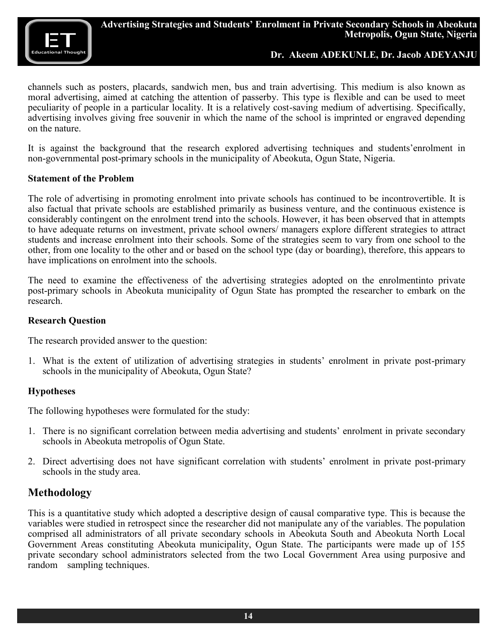

channels such as posters, placards, sandwich men, bus and train advertising. This medium is also known as moral advertising, aimed at catching the attention of passerby. This type is flexible and can be used to meet peculiarity of people in a particular locality. It is a relatively cost-saving medium of advertising. Specifically, advertising involves giving free souvenir in which the name of the school is imprinted or engraved depending on the nature.

It is against the background that the research explored advertising techniques and students'enrolment in non-governmental post-primary schools in the municipality of Abeokuta, Ogun State, Nigeria.

#### **Statement of the Problem**

The role of advertising in promoting enrolment into private schools has continued to be incontrovertible. It is also factual that private schools are established primarily as business venture, and the continuous existence is considerably contingent on the enrolment trend into the schools. However, it has been observed that in attempts to have adequate returns on investment, private school owners/ managers explore different strategies to attract students and increase enrolment into their schools. Some of the strategies seem to vary from one school to the other, from one locality to the other and or based on the school type (day or boarding), therefore, this appears to have implications on enrolment into the schools.

The need to examine the effectiveness of the advertising strategies adopted on the enrolmentinto private post-primary schools in Abeokuta municipality of Ogun State has prompted the researcher to embark on the research.

#### **Research Question**

The research provided answer to the question:

1. What is the extent of utilization of advertising strategies in students' enrolment in private post-primary schools in the municipality of Abeokuta, Ogun State?

#### **Hypotheses**

The following hypotheses were formulated for the study:

- 1. There is no significant correlation between media advertising and students' enrolment in private secondary schools in Abeokuta metropolis of Ogun State.
- 2. Direct advertising does not have significant correlation with students' enrolment in private post-primary schools in the study area.

## **Methodology**

This is a quantitative study which adopted a descriptive design of causal comparative type. This is because the variables were studied in retrospect since the researcher did not manipulate any of the variables. The population comprised all administrators of all private secondary schools in Abeokuta South and Abeokuta North Local Government Areas constituting Abeokuta municipality, Ogun State. The participants were made up of 155 private secondary school administrators selected from the two Local Government Area using purposive and random sampling techniques.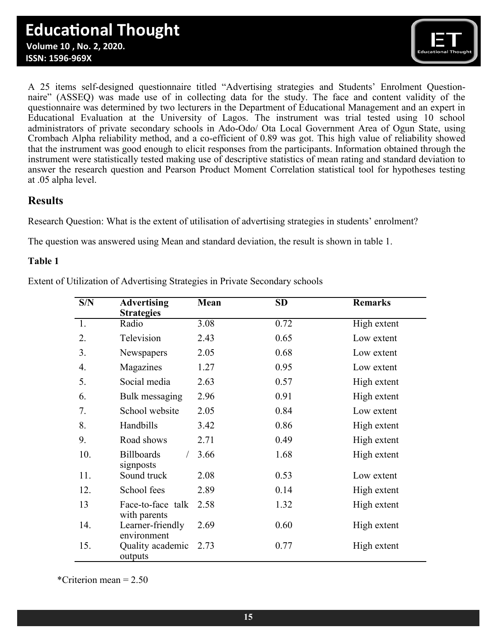

A 25 items self-designed questionnaire titled "Advertising strategies and Students' Enrolment Questionnaire" (ASSEQ) was made use of in collecting data for the study. The face and content validity of the questionnaire was determined by two lecturers in the Department of Educational Management and an expert in Educational Evaluation at the University of Lagos. The instrument was trial tested using 10 school administrators of private secondary schools in Ado-Odo/ Ota Local Government Area of Ogun State, using Crombach Alpha reliability method, and a co-efficient of 0.89 was got. This high value of reliability showed that the instrument was good enough to elicit responses from the participants. Information obtained through the instrument were statistically tested making use of descriptive statistics of mean rating and standard deviation to answer the research question and Pearson Product Moment Correlation statistical tool for hypotheses testing at .05 alpha level.

## **Results**

Research Question: What is the extent of utilisation of advertising strategies in students' enrolment?

The question was answered using Mean and standard deviation, the result is shown in table 1.

#### **Table 1**

Extent of Utilization of Advertising Strategies in Private Secondary schools

| S/N | <b>Advertising</b><br><b>Strategies</b> | Mean | <b>SD</b> | <b>Remarks</b> |
|-----|-----------------------------------------|------|-----------|----------------|
| 1.  | Radio                                   | 3.08 | 0.72      | High extent    |
| 2.  | Television                              | 2.43 | 0.65      | Low extent     |
| 3.  | Newspapers                              | 2.05 | 0.68      | Low extent     |
| 4.  | Magazines                               | 1.27 | 0.95      | Low extent     |
| 5.  | Social media                            | 2.63 | 0.57      | High extent    |
| 6.  | Bulk messaging                          | 2.96 | 0.91      | High extent    |
| 7.  | School website                          | 2.05 | 0.84      | Low extent     |
| 8.  | Handbills                               | 3.42 | 0.86      | High extent    |
| 9.  | Road shows                              | 2.71 | 0.49      | High extent    |
| 10. | <b>Billboards</b><br>signposts          | 3.66 | 1.68      | High extent    |
| 11. | Sound truck                             | 2.08 | 0.53      | Low extent     |
| 12. | School fees                             | 2.89 | 0.14      | High extent    |
| 13  | Face-to-face talk<br>with parents       | 2.58 | 1.32      | High extent    |
| 14. | Learner-friendly<br>environment         | 2.69 | 0.60      | High extent    |
| 15. | Quality academic<br>outputs             | 2.73 | 0.77      | High extent    |

\*Criterion mean = 2.50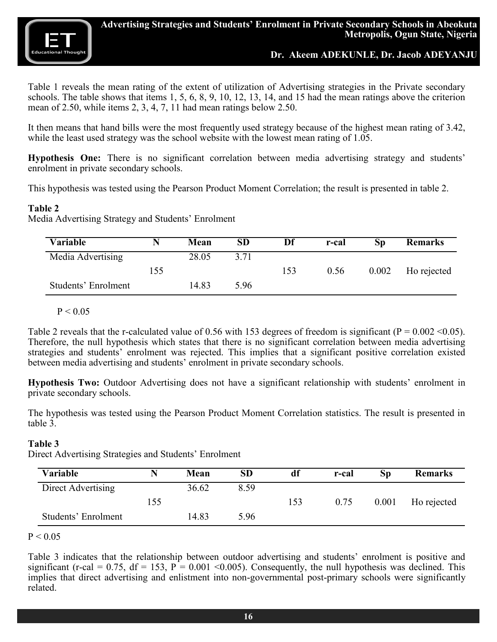

Table 1 reveals the mean rating of the extent of utilization of Advertising strategies in the Private secondary schools. The table shows that items 1, 5, 6, 8, 9, 10, 12, 13, 14, and 15 had the mean ratings above the criterion mean of 2.50, while items 2, 3, 4, 7, 11 had mean ratings below 2.50.

It then means that hand bills were the most frequently used strategy because of the highest mean rating of 3.42, while the least used strategy was the school website with the lowest mean rating of 1.05.

**Hypothesis One:** There is no significant correlation between media advertising strategy and students' enrolment in private secondary schools.

This hypothesis was tested using the Pearson Product Moment Correlation; the result is presented in table 2.

#### **Table 2**

Media Advertising Strategy and Students' Enrolment

| Variable            |     | Mean  | <b>SD</b> | Df  | r-cal | Sp    | <b>Remarks</b> |
|---------------------|-----|-------|-----------|-----|-------|-------|----------------|
| Media Advertising   |     | 28.05 | 3.71      |     |       |       |                |
|                     | 155 |       |           | 153 | 0.56  | 0.002 | Ho rejected    |
| Students' Enrolment |     | 14.83 | 5.96      |     |       |       |                |

#### $P < 0.05$

Table 2 reveals that the r-calculated value of 0.56 with 153 degrees of freedom is significant ( $P = 0.002 \le 0.05$ ). Therefore, the null hypothesis which states that there is no significant correlation between media advertising strategies and students' enrolment was rejected. This implies that a significant positive correlation existed between media advertising and students' enrolment in private secondary schools.

**Hypothesis Two:** Outdoor Advertising does not have a significant relationship with students' enrolment in private secondary schools.

The hypothesis was tested using the Pearson Product Moment Correlation statistics. The result is presented in table 3.

#### **Table 3**

Direct Advertising Strategies and Students' Enrolment

| Variable            |     | Mean  | <b>SD</b> | df  | r-cal | Sp    | <b>Remarks</b> |
|---------------------|-----|-------|-----------|-----|-------|-------|----------------|
| Direct Advertising  |     | 36.62 | 8.59      |     |       |       |                |
|                     | 155 |       |           | 153 | 0.75  | 0.001 | Ho rejected    |
| Students' Enrolment |     | 14.83 | 5.96      |     |       |       |                |

#### $P < 0.05$

Table 3 indicates that the relationship between outdoor advertising and students' enrolment is positive and significant (r-cal = 0.75, df = 153,  $P = 0.001 \le 0.005$ ). Consequently, the null hypothesis was declined. This implies that direct advertising and enlistment into non-governmental post-primary schools were significantly related.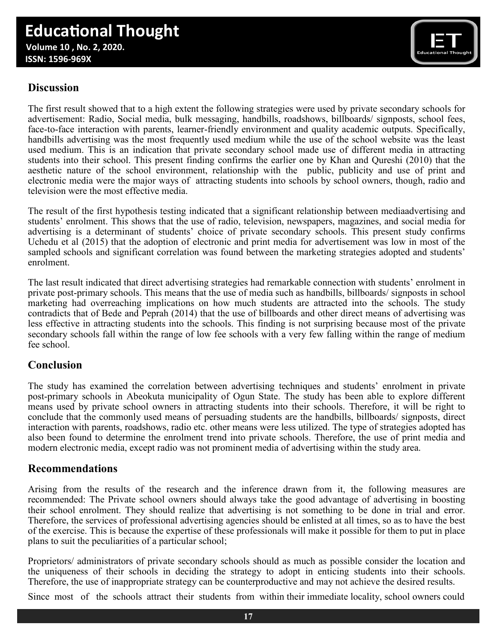# **Educational Thought**

 **Volume 10 , No. 2, 2020. ISSN: 1596-969X**



## **Discussion**

The first result showed that to a high extent the following strategies were used by private secondary schools for advertisement: Radio, Social media, bulk messaging, handbills, roadshows, billboards/ signposts, school fees, face-to-face interaction with parents, learner-friendly environment and quality academic outputs. Specifically, handbills advertising was the most frequently used medium while the use of the school website was the least used medium. This is an indication that private secondary school made use of different media in attracting students into their school. This present finding confirms the earlier one by Khan and Qureshi (2010) that the aesthetic nature of the school environment, relationship with the public, publicity and use of print and electronic media were the major ways of attracting students into schools by school owners, though, radio and television were the most effective media.

The result of the first hypothesis testing indicated that a significant relationship between mediaadvertising and students' enrolment. This shows that the use of radio, television, newspapers, magazines, and social media for advertising is a determinant of students' choice of private secondary schools. This present study confirms Uchedu et al (2015) that the adoption of electronic and print media for advertisement was low in most of the sampled schools and significant correlation was found between the marketing strategies adopted and students' enrolment.

The last result indicated that direct advertising strategies had remarkable connection with students' enrolment in private post-primary schools. This means that the use of media such as handbills, billboards/ signposts in school marketing had overreaching implications on how much students are attracted into the schools. The study contradicts that of Bede and Peprah (2014) that the use of billboards and other direct means of advertising was less effective in attracting students into the schools. This finding is not surprising because most of the private secondary schools fall within the range of low fee schools with a very few falling within the range of medium fee school.

## **Conclusion**

The study has examined the correlation between advertising techniques and students' enrolment in private post-primary schools in Abeokuta municipality of Ogun State. The study has been able to explore different means used by private school owners in attracting students into their schools. Therefore, it will be right to conclude that the commonly used means of persuading students are the handbills, billboards/ signposts, direct interaction with parents, roadshows, radio etc. other means were less utilized. The type of strategies adopted has also been found to determine the enrolment trend into private schools. Therefore, the use of print media and modern electronic media, except radio was not prominent media of advertising within the study area.

## **Recommendations**

Arising from the results of the research and the inference drawn from it, the following measures are recommended: The Private school owners should always take the good advantage of advertising in boosting their school enrolment. They should realize that advertising is not something to be done in trial and error. Therefore, the services of professional advertising agencies should be enlisted at all times, so as to have the best of the exercise. This is because the expertise of these professionals will make it possible for them to put in place plans to suit the peculiarities of a particular school;

Proprietors/ administrators of private secondary schools should as much as possible consider the location and the uniqueness of their schools in deciding the strategy to adopt in enticing students into their schools. Therefore, the use of inappropriate strategy can be counterproductive and may not achieve the desired results.

Since most of the schools attract their students from within their immediate locality, school owners could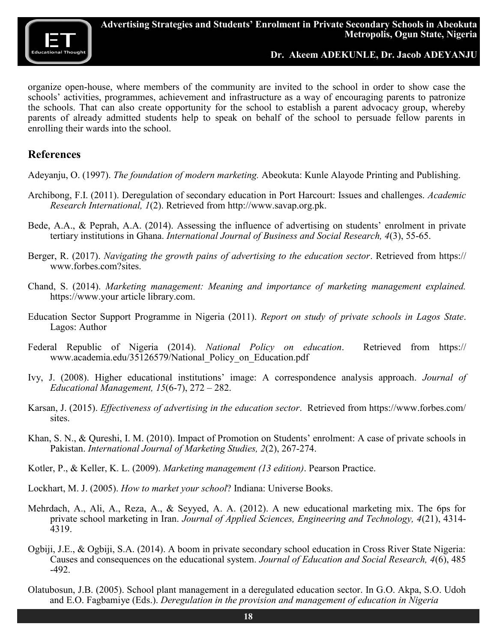

organize open-house, where members of the community are invited to the school in order to show case the schools' activities, programmes, achievement and infrastructure as a way of encouraging parents to patronize the schools. That can also create opportunity for the school to establish a parent advocacy group, whereby parents of already admitted students help to speak on behalf of the school to persuade fellow parents in enrolling their wards into the school.

#### **References**

Adeyanju, O. (1997). *The foundation of modern marketing.* Abeokuta: Kunle Alayode Printing and Publishing.

- Archibong, F.I. (2011). Deregulation of secondary education in Port Harcourt: Issues and challenges. *Academic Research International, 1*(2). Retrieved from [http://www.savap.org.pk.](http://www.savap.org.pk)
- Bede, A.A., & Peprah, A.A. (2014). Assessing the influence of advertising on students' enrolment in private tertiary institutions in Ghana. *International Journal of Business and Social Research, 4*(3), 55-65.
- Berger, R. (2017). *Navigating the growth pains of advertising to the education sector*. Retrieved from https:// www.forbes.com?sites.
- Chand, S. (2014). *Marketing management: Meaning and importance of marketing management explained.* <https://www.your>article library.com.
- Education Sector Support Programme in Nigeria (2011). *Report on study of private schools in Lagos State*. Lagos: Author
- Federal Republic of Nigeria (2014). *National Policy on education*. Retrieved from [https://](https://www.academia.edu/35126579/National_Policy_on_Education.pdf) www.academia.edu/35126579/National Policy on Education.pdf
- Ivy, J. (2008). Higher educational institutions' image: A correspondence analysis approach. *Journal of Educational Management, 15*(6-7), 272 – 282.
- Karsan, J. (2015). *Effectiveness of advertising in the education sector*. Retrieved from [https://www.forbes.com/](https://www.forbes.com/sites) [sites.](https://www.forbes.com/sites)
- Khan, S. N., & Qureshi, I. M. (2010). Impact of Promotion on Students' enrolment: A case of private schools in Pakistan. *International Journal of Marketing Studies, 2*(2), 267-274.
- Kotler, P., & Keller, K. L. (2009). *Marketing management (13 edition)*. Pearson Practice.
- Lockhart, M. J. (2005). *How to market your school*? Indiana: Universe Books.
- Mehrdach, A., Ali, A., Reza, A., & Seyyed, A. A. (2012). A new educational marketing mix. The 6ps for private school marketing in Iran. *Journal of Applied Sciences, Engineering and Technology, 4*(21), 4314- 4319.
- Ogbiji, J.E., & Ogbiji, S.A. (2014). A boom in private secondary school education in Cross River State Nigeria: Causes and consequences on the educational system. *Journal of Education and Social Research, 4*(6), 485 -492.
- Olatubosun, J.B. (2005). School plant management in a deregulated education sector. In G.O. Akpa, S.O. Udoh and E.O. Fagbamiye (Eds.). *Deregulation in the provision and management of education in Nigeria*